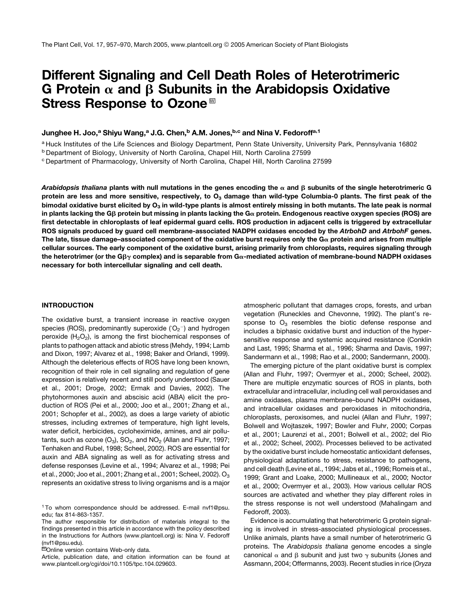# Different Signaling and Cell Death Roles of Heterotrimeric G Protein  $\alpha$  and  $\beta$  Subunits in the Arabidopsis Oxidative Stress Response to Ozone<sup>™</sup>

## Junghee H. Joo,<sup>a</sup> Shiyu Wang,<sup>a</sup> J.G. Chen,<sup>b</sup> A.M. Jones,<sup>b,c</sup> and Nina V. Fedoroff<sup>a,1</sup>

<sup>a</sup> Huck Institutes of the Life Sciences and Biology Department, Penn State University, University Park, Pennsylvania 16802

<sup>b</sup> Department of Biology, University of North Carolina, Chapel Hill, North Carolina 27599

<sup>c</sup> Department of Pharmacology, University of North Carolina, Chapel Hill, North Carolina 27599

Arabidopsis thaliana plants with null mutations in the genes encoding the  $\alpha$  and  $\beta$  subunits of the single heterotrimeric G protein are less and more sensitive, respectively, to  $O_3$  damage than wild-type Columbia-0 plants. The first peak of the bimodal oxidative burst elicited by  $O_3$  in wild-type plants is almost entirely missing in both mutants. The late peak is normal in plants lacking the G $\beta$  protein but missing in plants lacking the G $\alpha$  protein. Endogenous reactive oxygen species (ROS) are first detectable in chloroplasts of leaf epidermal guard cells. ROS production in adjacent cells is triggered by extracellular ROS signals produced by guard cell membrane-associated NADPH oxidases encoded by the AtrbohD and AtrbohF genes. The late, tissue damage–associated component of the oxidative burst requires only the  $Ga\alpha$  protein and arises from multiple cellular sources. The early component of the oxidative burst, arising primarily from chloroplasts, requires signaling through the heterotrimer (or the G $\beta\gamma$  complex) and is separable from G $\alpha$ -mediated activation of membrane-bound NADPH oxidases necessary for both intercellular signaling and cell death.

#### INTRODUCTION

The oxidative burst, a transient increase in reactive oxygen species (ROS), predominantly superoxide  $(O_2^-)$  and hydrogen peroxide  $(H_2O_2)$ , is among the first biochemical responses of plants to pathogen attack and abiotic stress (Mehdy, 1994; Lamb and Dixon, 1997; Alvarez et al., 1998; Baker and Orlandi, 1999). Although the deleterious effects of ROS have long been known, recognition of their role in cell signaling and regulation of gene expression is relatively recent and still poorly understood (Sauer et al., 2001; Droge, 2002; Ermak and Davies, 2002). The phytohormones auxin and abscisic acid (ABA) elicit the production of ROS (Pei et al., 2000; Joo et al., 2001; Zhang et al., 2001; Schopfer et al., 2002), as does a large variety of abiotic stresses, including extremes of temperature, high light levels, water deficit, herbicides, cycloheximide, amines, and air pollutants, such as ozone  $(O_3)$ ,  $SO_2$ , and  $NO_2$  (Allan and Fluhr, 1997; Tenhaken and Rubel, 1998; Scheel, 2002). ROS are essential for auxin and ABA signaling as well as for activating stress and defense responses (Levine et al., 1994; Alvarez et al., 1998; Pei et al., 2000; Joo et al., 2001; Zhang et al., 2001; Scheel, 2002).  $O_3$ represents an oxidative stress to living organisms and is a major

<sup>1</sup> To whom correspondence should be addressed. E-mail nvf1@psu. edu; fax 814-863-1357.

The author responsible for distribution of materials integral to the findings presented in this article in accordance with the policy described in the Instructions for Authors (www.plantcell.org) is: Nina V. Fedoroff (nvf1@psu.edu).

<sup>IM</sup>Online version contains Web-only data.

Article, publication date, and citation information can be found at www.plantcell.org/cgi/doi/10.1105/tpc.104.029603.

atmospheric pollutant that damages crops, forests, and urban vegetation (Runeckles and Chevonne, 1992). The plant's response to  $O_3$  resembles the biotic defense response and includes a biphasic oxidative burst and induction of the hypersensitive response and systemic acquired resistance (Conklin and Last, 1995; Sharma et al., 1996; Sharma and Davis, 1997; Sandermann et al., 1998; Rao et al., 2000; Sandermann, 2000).

The emerging picture of the plant oxidative burst is complex (Allan and Fluhr, 1997; Overmyer et al., 2000; Scheel, 2002). There are multiple enzymatic sources of ROS in plants, both extracellular and intracellular, including cell wall peroxidases and amine oxidases, plasma membrane–bound NADPH oxidases, and intracellular oxidases and peroxidases in mitochondria, chloroplasts, peroxisomes, and nuclei (Allan and Fluhr, 1997; Bolwell and Wojtaszek, 1997; Bowler and Fluhr, 2000; Corpas et al., 2001; Laurenzi et al., 2001; Bolwell et al., 2002; del Rio et al., 2002; Scheel, 2002). Processes believed to be activated by the oxidative burst include homeostatic antioxidant defenses, physiological adaptations to stress, resistance to pathogens, and cell death (Levine et al., 1994; Jabs et al., 1996; Romeis et al., 1999; Grant and Loake, 2000; Mullineaux et al., 2000; Noctor et al., 2000; Overmyer et al., 2003). How various cellular ROS sources are activated and whether they play different roles in the stress response is not well understood (Mahalingam and Fedoroff, 2003).

Evidence is accumulating that heterotrimeric G protein signaling is involved in stress-associated physiological processes. Unlike animals, plants have a small number of heterotrimeric G proteins. The *Arabidopsis thaliana* genome encodes a single canonical  $\alpha$  and  $\beta$  subunit and just two  $\gamma$  subunits (Jones and Assmann, 2004; Offermanns, 2003). Recent studies in rice (*Oryza*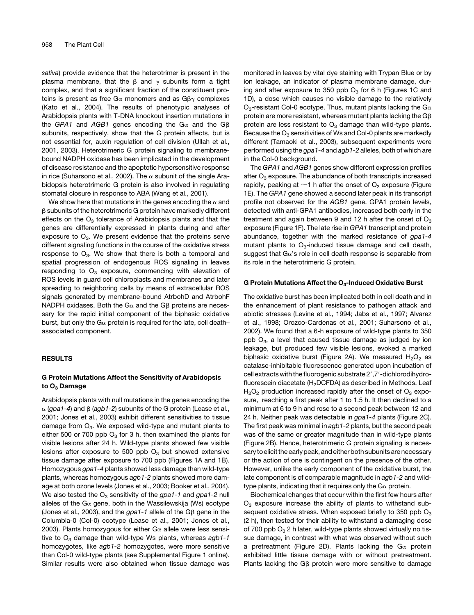*sativa*) provide evidence that the heterotrimer is present in the plasma membrane, that the  $\beta$  and  $\gamma$  subunits form a tight complex, and that a significant fraction of the constituent proteins is present as free G $\alpha$  monomers and as G $\beta\gamma$  complexes (Kato et al., 2004). The results of phenotypic analyses of Arabidopsis plants with T-DNA knockout insertion mutations in the *GPA1* and *AGB1* genes encoding the  $G\alpha$  and the  $G\beta$ subunits, respectively, show that the G protein affects, but is not essential for, auxin regulation of cell division (Ullah et al., 2001, 2003). Heterotrimeric G protein signaling to membranebound NADPH oxidase has been implicated in the development of disease resistance and the apoptotic hypersensitive response in rice (Suharsono et al., 2002). The  $\alpha$  subunit of the single Arabidopsis heterotrimeric G protein is also involved in regulating stomatal closure in response to ABA (Wang et al., 2001).

We show here that mutations in the genes encoding the  $\alpha$  and  $\beta$  subunits of the heterotrimeric G protein have markedly different effects on the  $O<sub>3</sub>$  tolerance of Arabidopsis plants and that the genes are differentially expressed in plants during and after exposure to  $O_3$ . We present evidence that the proteins serve different signaling functions in the course of the oxidative stress response to  $O_3$ . We show that there is both a temporal and spatial progression of endogenous ROS signaling in leaves responding to  $O_3$  exposure, commencing with elevation of ROS levels in guard cell chloroplasts and membranes and later spreading to neighboring cells by means of extracellular ROS signals generated by membrane-bound AtrbohD and AtrbohF NADPH oxidases. Both the  $G\alpha$  and the G<sub>B</sub> proteins are necessary for the rapid initial component of the biphasic oxidative burst, but only the G $\alpha$  protein is required for the late, cell deathassociated component.

## **RESULTS**

# G Protein Mutations Affect the Sensitivity of Arabidopsis to O<sub>3</sub> Damage

Arabidopsis plants with null mutations in the genes encoding the  $\alpha$  (gpa1-4) and  $\beta$  (agb1-2) subunits of the G protein (Lease et al., 2001; Jones et al., 2003) exhibit different sensitivities to tissue damage from  $O_3$ . We exposed wild-type and mutant plants to either 500 or 700 ppb  $O_3$  for 3 h, then examined the plants for visible lesions after 24 h. Wild-type plants showed few visible lesions after exposure to 500 ppb  $O_3$  but showed extensive tissue damage after exposure to 700 ppb (Figures 1A and 1B). Homozygous *gpa1-4* plants showed less damage than wild-type plants, whereas homozygous *agb1-2* plants showed more damage at both ozone levels (Jones et al., 2003; Booker et al., 2004). We also tested the O<sub>3</sub> sensitivity of the *gpa1-1* and *gpa1-2* null alleles of the G $\alpha$  gene, both in the Wassilewskija (Ws) ecotype (Jones et al., 2003), and the *gpa1-1* allele of the Gb gene in the Columbia-0 (Col-0) ecotype (Lease et al., 2001; Jones et al., 2003). Plants homozygous for either  $G_{\alpha}$  allele were less sensitive to O<sub>3</sub> damage than wild-type Ws plants, whereas agb1-1 homozygotes, like *agb1-2* homozygotes, were more sensitive than Col-0 wild-type plants (see Supplemental Figure 1 online). Similar results were also obtained when tissue damage was monitored in leaves by vital dye staining with Trypan Blue or by ion leakage, an indicator of plasma membrane damage, during and after exposure to 350 ppb  $O_3$  for 6 h (Figures 1C and 1D), a dose which causes no visible damage to the relatively  $O_3$ -resistant Col-0 ecotype. Thus, mutant plants lacking the G $\alpha$ protein are more resistant, whereas mutant plants lacking the  $G\beta$ protein are less resistant to  $O_3$  damage than wild-type plants. Because the  $O_3$  sensitivities of Ws and Col-0 plants are markedly different (Tamaoki et al., 2003), subsequent experiments were performed using the *gpa1-4* and *agb1-2* alleles, both of which are in the Col-0 background.

The *GPA1* and *AGB1* genes show different expression profiles after  $O_3$  exposure. The abundance of both transcripts increased rapidly, peaking at  $\sim$ 1 h after the onset of O<sub>3</sub> exposure (Figure 1E). The *GPA1* gene showed a second later peak in its transcript profile not observed for the *AGB1* gene. GPA1 protein levels, detected with anti-GPA1 antibodies, increased both early in the treatment and again between 9 and 12 h after the onset of  $O<sub>3</sub>$ exposure (Figure 1F). The late rise in *GPA1* transcript and protein abundance, together with the marked resistance of *gpa1-4* mutant plants to  $O_3$ -induced tissue damage and cell death, suggest that  $Ga$ 's role in cell death response is separable from its role in the heterotrimeric G protein.

## G Protein Mutations Affect the  $O_3$ -Induced Oxidative Burst

The oxidative burst has been implicated both in cell death and in the enhancement of plant resistance to pathogen attack and abiotic stresses (Levine et al., 1994; Jabs et al., 1997; Alvarez et al., 1998; Orozco-Cardenas et al., 2001; Suharsono et al., 2002). We found that a 6-h exposure of wild-type plants to 350 ppb  $O_3$ , a level that caused tissue damage as judged by ion leakage, but produced few visible lesions, evoked a marked biphasic oxidative burst (Figure 2A). We measured  $H_2O_2$  as catalase-inhibitable fluorescence generated upon incubation of cell extracts with the fluorogenic substrate 2',7'-dichlorodihydrofluorescein diacetate (H<sub>2</sub>DCFDA) as described in Methods. Leaf  $H_2O_2$  production increased rapidly after the onset of  $O_3$  exposure, reaching a first peak after 1 to 1.5 h. It then declined to a minimum at 6 to 9 h and rose to a second peak between 12 and 24 h. Neither peak was detectable in *gpa1-4* plants (Figure 2C). The first peak was minimal in *agb1-2* plants, but the second peak was of the same or greater magnitude than in wild-type plants (Figure 2B). Hence, heterotrimeric G protein signaling is necessary to elicit the early peak, and either both subunits are necessary or the action of one is contingent on the presence of the other. However, unlike the early component of the oxidative burst, the late component is of comparable magnitude in *agb1-2* and wildtype plants, indicating that it requires only the  $G\alpha$  protein.

Biochemical changes that occur within the first few hours after  $O_3$  exposure increase the ability of plants to withstand subsequent oxidative stress. When exposed briefly to 350 ppb  $O_3$ (2 h), then tested for their ability to withstand a damaging dose of 700 ppb  $O_3$  2 h later, wild-type plants showed virtually no tissue damage, in contrast with what was observed without such a pretreatment (Figure 2D). Plants lacking the  $Ga$  protein exhibited little tissue damage with or without pretreatment. Plants lacking the G $\beta$  protein were more sensitive to damage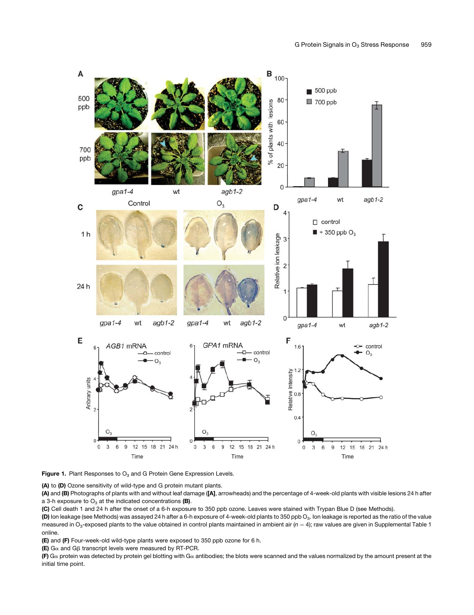

**Figure 1.** Plant Responses to  $O_3$  and G Protein Gene Expression Levels.

(A) to (D) Ozone sensitivity of wild-type and G protein mutant plants.

(A) and (B) Photographs of plants with and without leaf damage ([A], arrowheads) and the percentage of 4-week-old plants with visible lesions 24 h after a 3-h exposure to  $O_3$  at the indicated concentrations (B).

(C) Cell death 1 and 24 h after the onset of a 6-h exposure to 350 ppb ozone. Leaves were stained with Trypan Blue D (see Methods).

(D) Ion leakage (see Methods) was assayed 24 h after a 6-h exposure of 4-week-old plants to 350 ppb O<sub>3</sub>. Ion leakage is reported as the ratio of the value measured in O<sub>3</sub>-exposed plants to the value obtained in control plants maintained in ambient air ( $n = 4$ ); raw values are given in Supplemental Table 1 online.

(E) and (F) Four-week-old wild-type plants were exposed to 350 ppb ozone for 6 h.

(E)  $G\alpha$  and  $G\beta$  transcript levels were measured by RT-PCR.

(F) G $\alpha$  protein was detected by protein gel blotting with G $\alpha$  antibodies; the blots were scanned and the values normalized by the amount present at the initial time point.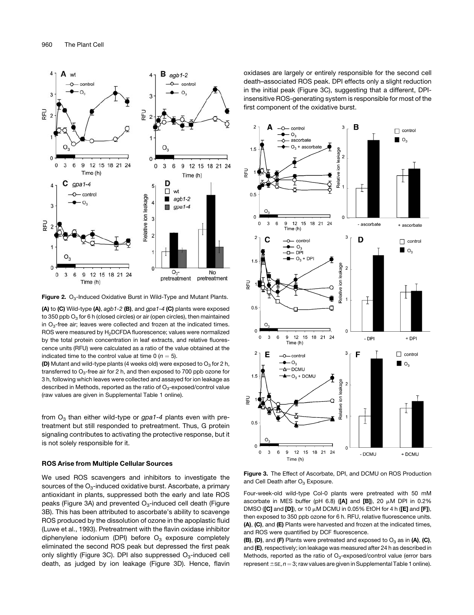

**Figure 2.** O<sub>3</sub>-Induced Oxidative Burst in Wild-Type and Mutant Plants.

(A) to (C) Wild-type (A), *agb1-2* (B), and *gpa1-4* (C) plants were exposed to 350 ppb  $O_3$  for 6 h (closed circles) or air (open circles), then maintained in  $O_3$ -free air; leaves were collected and frozen at the indicated times. ROS were measured by H<sub>2</sub>DCFDA fluorescence: values were normalized by the total protein concentration in leaf extracts, and relative fluorescence units (RFU) were calculated as a ratio of the value obtained at the indicated time to the control value at time  $0 (n = 5)$ .

(D) Mutant and wild-type plants (4 weeks old) were exposed to  $O_3$  for 2 h, transferred to  $O_3$ -free air for 2 h, and then exposed to 700 ppb ozone for 3 h, following which leaves were collected and assayed for ion leakage as described in Methods, reported as the ratio of  $O<sub>3</sub>$ -exposed/control value (raw values are given in Supplemental Table 1 online).

from O<sub>3</sub> than either wild-type or *gpa1-4* plants even with pretreatment but still responded to pretreatment. Thus, G protein signaling contributes to activating the protective response, but it is not solely responsible for it.

## ROS Arise from Multiple Cellular Sources

We used ROS scavengers and inhibitors to investigate the sources of the  $O_3$ -induced oxidative burst. Ascorbate, a primary antioxidant in plants, suppressed both the early and late ROS peaks (Figure 3A) and prevented  $O<sub>3</sub>$ -induced cell death (Figure 3B). This has been attributed to ascorbate's ability to scavenge ROS produced by the dissolution of ozone in the apoplastic fluid (Luwe et al., 1993). Pretreatment with the flavin oxidase inhibitor diphenylene iodonium (DPI) before  $O_3$  exposure completely eliminated the second ROS peak but depressed the first peak only slightly (Figure 3C). DPI also suppressed  $O<sub>3</sub>$ -induced cell death, as judged by ion leakage (Figure 3D). Hence, flavin oxidases are largely or entirely responsible for the second cell death–associated ROS peak. DPI effects only a slight reduction in the initial peak (Figure 3C), suggesting that a different, DPIinsensitive ROS-generating system is responsible for most of the first component of the oxidative burst.



Figure 3. The Effect of Ascorbate, DPI, and DCMU on ROS Production and Cell Death after  $O<sub>3</sub>$  Exposure.

Four-week-old wild-type Col-0 plants were pretreated with 50 mM ascorbate in MES buffer (pH 6.8) ( $[A]$  and  $[B]$ ), 20  $\mu$ M DPI in 0.2% DMSO ([C] and [D]), or 10  $\mu$ M DCMU in 0.05% EtOH for 4 h ([E] and [F]), then exposed to 350 ppb ozone for 6 h. RFU, relative fluorescence units. (A), (C), and (E) Plants were harvested and frozen at the indicated times, and ROS were quantified by DCF fluorescence.

(B), (D), and (F) Plants were pretreated and exposed to  $O_3$  as in (A), (C), and (E), respectively; ion leakage was measured after 24 h as described in Methods, reported as the ratio of  $O_3$ -exposed/control value (error bars represent  $\pm$  sE,  $n = 3$ ; raw values are given in Supplemental Table 1 online).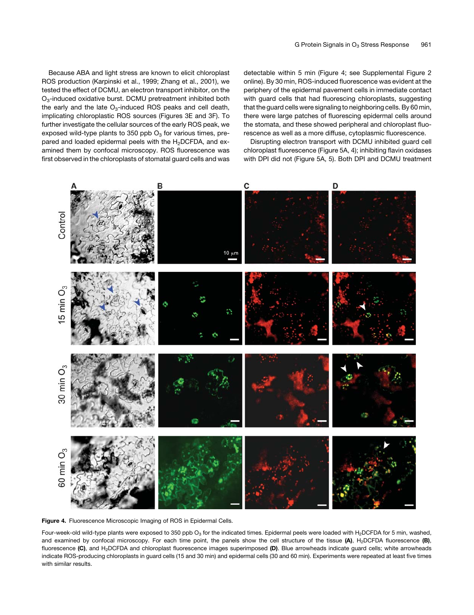Because ABA and light stress are known to elicit chloroplast ROS production (Karpinski et al., 1999; Zhang et al., 2001), we tested the effect of DCMU, an electron transport inhibitor, on the O3-induced oxidative burst. DCMU pretreatment inhibited both the early and the late  $O_3$ -induced ROS peaks and cell death, implicating chloroplastic ROS sources (Figures 3E and 3F). To further investigate the cellular sources of the early ROS peak, we exposed wild-type plants to 350 ppb  $O_3$  for various times, prepared and loaded epidermal peels with the H<sub>2</sub>DCFDA, and examined them by confocal microscopy. ROS fluorescence was first observed in the chloroplasts of stomatal guard cells and was detectable within 5 min (Figure 4; see Supplemental Figure 2 online). By 30 min, ROS-induced fluorescence was evident at the periphery of the epidermal pavement cells in immediate contact with guard cells that had fluorescing chloroplasts, suggesting that the guard cells were signaling to neighboring cells. By 60 min, there were large patches of fluorescing epidermal cells around the stomata, and these showed peripheral and chloroplast fluorescence as well as a more diffuse, cytoplasmic fluorescence.

Disrupting electron transport with DCMU inhibited guard cell chloroplast fluorescence (Figure 5A, 4); inhibiting flavin oxidases with DPI did not (Figure 5A, 5). Both DPI and DCMU treatment



Figure 4. Fluorescence Microscopic Imaging of ROS in Epidermal Cells.

Four-week-old wild-type plants were exposed to 350 ppb O<sub>3</sub> for the indicated times. Epidermal peels were loaded with H<sub>2</sub>DCFDA for 5 min, washed, and examined by confocal microscopy. For each time point, the panels show the cell structure of the tissue  $(A)$ , H<sub>2</sub>DCFDA fluorescence  $(B)$ , fluorescence (C), and H<sub>2</sub>DCFDA and chloroplast fluorescence images superimposed (D). Blue arrowheads indicate guard cells; white arrowheads indicate ROS-producing chloroplasts in guard cells (15 and 30 min) and epidermal cells (30 and 60 min). Experiments were repeated at least five times with similar results.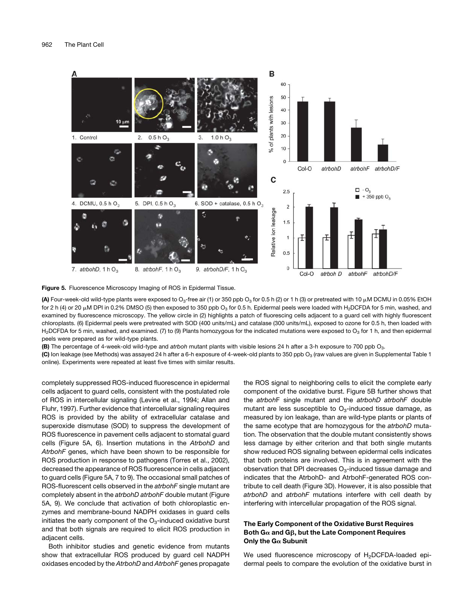

Figure 5. Fluorescence Microscopy Imaging of ROS in Epidermal Tissue.

(A) Four-week-old wild-type plants were exposed to O<sub>3</sub>-free air (1) or 350 ppb O<sub>3</sub> for 0.5 h (2) or 1 h (3) or pretreated with 10  $\mu$ M DCMU in 0.05% EtOH for 2 h (4) or 20  $\mu$ M DPI in 0.2% DMSO (5) then exposed to 350 ppb O<sub>3</sub> for 0.5 h. Epidermal peels were loaded with H<sub>2</sub>DCFDA for 5 min, washed, and examined by fluorescence microscopy. The yellow circle in (2) highlights a patch of fluorescing cells adjacent to a guard cell with highly fluorescent chloroplasts. (6) Epidermal peels were pretreated with SOD (400 units/mL) and catalase (300 units/mL), exposed to ozone for 0.5 h, then loaded with H<sub>2</sub>DCFDA for 5 min, washed, and examined. (7) to (9) Plants homozygous for the indicated mutations were exposed to O<sub>3</sub> for 1 h, and then epidermal peels were prepared as for wild-type plants.

(B) The percentage of 4-week-old wild-type and *atrboh* mutant plants with visible lesions 24 h after a 3-h exposure to 700 ppb O3.

(C) Ion leakage (see Methods) was assayed 24 h after a 6-h exposure of 4-week-old plants to 350 ppb O<sub>3</sub> (raw values are given in Supplemental Table 1 online). Experiments were repeated at least five times with similar results.

completely suppressed ROS-induced fluorescence in epidermal cells adjacent to guard cells, consistent with the postulated role of ROS in intercellular signaling (Levine et al., 1994; Allan and Fluhr, 1997). Further evidence that intercellular signaling requires ROS is provided by the ability of extracellular catalase and superoxide dismutase (SOD) to suppress the development of ROS fluorescence in pavement cells adjacent to stomatal guard cells (Figure 5A, 6). Insertion mutations in the *AtrbohD* and *AtrbohF* genes, which have been shown to be responsible for ROS production in response to pathogens (Torres et al., 2002), decreased the appearance of ROS fluorescence in cells adjacent to guard cells (Figure 5A, 7 to 9). The occasional small patches of ROS-fluorescent cells observed in the *atrbohF* single mutant are completely absent in the *atrbohD atrbohF* double mutant (Figure 5A, 9). We conclude that activation of both chloroplastic enzymes and membrane-bound NADPH oxidases in guard cells initiates the early component of the  $O<sub>3</sub>$ -induced oxidative burst and that both signals are required to elicit ROS production in adjacent cells.

Both inhibitor studies and genetic evidence from mutants show that extracellular ROS produced by guard cell NADPH oxidases encoded by the *AtrbohD* and *AtrbohF* genes propagate the ROS signal to neighboring cells to elicit the complete early component of the oxidative burst. Figure 5B further shows that the *atrboh*F single mutant and the *atrbohD atrbohF* double mutant are less susceptible to  $O<sub>3</sub>$ -induced tissue damage, as measured by ion leakage, than are wild-type plants or plants of the same ecotype that are homozygous for the *atrbohD* mutation. The observation that the double mutant consistently shows less damage by either criterion and that both single mutants show reduced ROS signaling between epidermal cells indicates that both proteins are involved. This is in agreement with the observation that DPI decreases  $O<sub>3</sub>$ -induced tissue damage and indicates that the AtrbohD- and AtrbohF-generated ROS contribute to cell death (Figure 3D). However, it is also possible that *atrbohD* and *atrbohF* mutations interfere with cell death by interfering with intercellular propagation of the ROS signal.

# The Early Component of the Oxidative Burst Requires Both G $\alpha$  and G $\beta$ , but the Late Component Requires Only the  $G_{\alpha}$  Subunit

We used fluorescence microscopy of H<sub>2</sub>DCFDA-loaded epidermal peels to compare the evolution of the oxidative burst in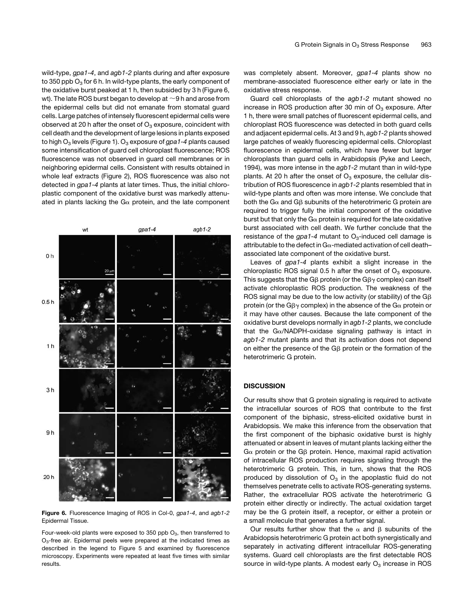wild-type, *gpa1-4*, and *agb1-2* plants during and after exposure to 350 ppb  $O_3$  for 6 h. In wild-type plants, the early component of the oxidative burst peaked at 1 h, then subsided by 3 h (Figure 6, wt). The late ROS burst began to develop at  $\sim$  9 h and arose from the epidermal cells but did not emanate from stomatal guard cells. Large patches of intensely fluorescent epidermal cells were observed at 20 h after the onset of  $O_3$  exposure, coincident with cell death and the development of large lesions in plants exposed to high O<sub>3</sub> levels (Figure 1). O<sub>3</sub> exposure of *gpa1-4* plants caused some intensification of guard cell chloroplast fluorescence; ROS fluorescence was not observed in guard cell membranes or in neighboring epidermal cells. Consistent with results obtained in whole leaf extracts (Figure 2), ROS fluorescence was also not detected in *gpa1-4* plants at later times. Thus, the initial chloroplastic component of the oxidative burst was markedly attenuated in plants lacking the  $Ga$  protein, and the late component



Figure 6. Fluorescence Imaging of ROS in Col-0, *gpa1-4*, and *agb1-2* Epidermal Tissue.

Four-week-old plants were exposed to 350 ppb  $O_3$ , then transferred to O<sub>3</sub>-free air. Epidermal peels were prepared at the indicated times as described in the legend to Figure 5 and examined by fluorescence microscopy. Experiments were repeated at least five times with similar results.

was completely absent. Moreover, *gpa1-4* plants show no membrane-associated fluorescence either early or late in the oxidative stress response.

Guard cell chloroplasts of the *agb1-2* mutant showed no increase in ROS production after 30 min of  $O<sub>3</sub>$  exposure. After 1 h, there were small patches of fluorescent epidermal cells, and chloroplast ROS fluorescence was detected in both guard cells and adjacent epidermal cells. At 3 and 9 h, *agb1-2* plants showed large patches of weakly fluorescing epidermal cells. Chloroplast fluorescence in epidermal cells, which have fewer but larger chloroplasts than guard cells in Arabidopsis (Pyke and Leech, 1994), was more intense in the *agb1-2* mutant than in wild-type plants. At 20 h after the onset of  $O_3$  exposure, the cellular distribution of ROS fluorescence in *agb1-2* plants resembled that in wild-type plants and often was more intense. We conclude that both the G $\alpha$  and G $\beta$  subunits of the heterotrimeric G protein are required to trigger fully the initial component of the oxidative burst but that only the  $G\alpha$  protein is required for the late oxidative burst associated with cell death. We further conclude that the resistance of the  $gpa1-4$  mutant to  $O<sub>3</sub>$ -induced cell damage is attributable to the defect in  $G_{\alpha}$ -mediated activation of cell deathassociated late component of the oxidative burst.

Leaves of *gpa1-4* plants exhibit a slight increase in the chloroplastic ROS signal 0.5 h after the onset of  $O_3$  exposure. This suggests that the G $\beta$  protein (or the G $\beta\gamma$  complex) can itself activate chloroplastic ROS production. The weakness of the ROS signal may be due to the low activity (or stability) of the  $G\beta$ protein (or the G $\beta\gamma$  complex) in the absence of the G $\alpha$  protein or it may have other causes. Because the late component of the oxidative burst develops normally in *agb1-2* plants, we conclude that the Ga/NADPH-oxidase signaling pathway is intact in *agb1-2* mutant plants and that its activation does not depend on either the presence of the G $\beta$  protein or the formation of the heterotrimeric G protein.

## **DISCUSSION**

Our results show that G protein signaling is required to activate the intracellular sources of ROS that contribute to the first component of the biphasic, stress-elicited oxidative burst in Arabidopsis. We make this inference from the observation that the first component of the biphasic oxidative burst is highly attenuated or absent in leaves of mutant plants lacking either the  $G\alpha$  protein or the G $\beta$  protein. Hence, maximal rapid activation of intracellular ROS production requires signaling through the heterotrimeric G protein. This, in turn, shows that the ROS produced by dissolution of  $O_3$  in the apoplastic fluid do not themselves penetrate cells to activate ROS-generating systems. Rather, the extracellular ROS activate the heterotrimeric G protein either directly or indirectly. The actual oxidation target may be the G protein itself, a receptor, or either a protein or a small molecule that generates a further signal.

Our results further show that the  $\alpha$  and  $\beta$  subunits of the Arabidopsis heterotrimeric G protein act both synergistically and separately in activating different intracellular ROS-generating systems. Guard cell chloroplasts are the first detectable ROS source in wild-type plants. A modest early  $O<sub>3</sub>$  increase in ROS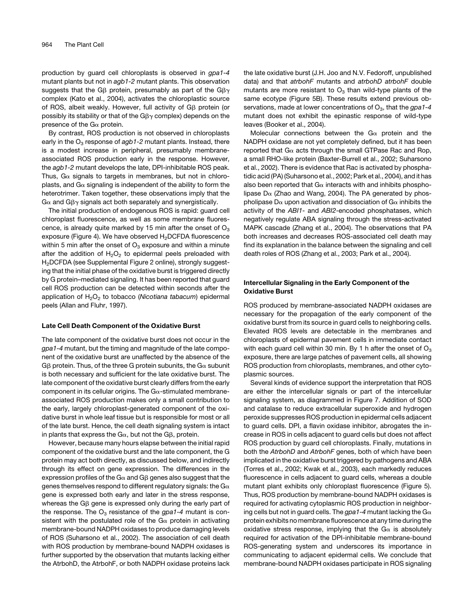production by guard cell chloroplasts is observed in *gpa1-4* mutant plants but not in *agb1-2* mutant plants. This observation suggests that the G $\beta$  protein, presumably as part of the G $\beta\gamma$ complex (Kato et al., 2004), activates the chloroplastic source of ROS, albeit weakly. However, full activity of G<sub>B</sub> protein (or possibly its stability or that of the  $G\beta\gamma$  complex) depends on the presence of the  $G\alpha$  protein.

By contrast, ROS production is not observed in chloroplasts early in the O<sub>3</sub> response of *agb1-2* mutant plants. Instead, there is a modest increase in peripheral, presumably membraneassociated ROS production early in the response. However, the *agb1-2* mutant develops the late, DPI-inhibitable ROS peak. Thus,  $G_{\alpha}$  signals to targets in membranes, but not in chloroplasts, and  $G\alpha$  signaling is independent of the ability to form the heterotrimer. Taken together, these observations imply that the  $G\alpha$  and  $G\beta\gamma$  signals act both separately and synergistically.

The initial production of endogenous ROS is rapid: guard cell chloroplast fluorescence, as well as some membrane fluorescence, is already quite marked by 15 min after the onset of  $O<sub>3</sub>$ exposure (Figure 4). We have observed H<sub>2</sub>DCFDA fluorescence within 5 min after the onset of  $O_3$  exposure and within a minute after the addition of  $H_2O_2$  to epidermal peels preloaded with H<sub>2</sub>DCFDA (see Supplemental Figure 2 online), strongly suggesting that the initial phase of the oxidative burst is triggered directly by G protein–mediated signaling. It has been reported that guard cell ROS production can be detected within seconds after the application of H2O2 to tobacco (*Nicotiana tabacum*) epidermal peels (Allan and Fluhr, 1997).

## Late Cell Death Component of the Oxidative Burst

The late component of the oxidative burst does not occur in the *gpa1-4* mutant, but the timing and magnitude of the late component of the oxidative burst are unaffected by the absence of the  $G\beta$  protein. Thus, of the three G protein subunits, the G $\alpha$  subunit is both necessary and sufficient for the late oxidative burst. The late component of the oxidative burst clearly differs from the early component in its cellular origins. The  $Ga$ -stimulated membraneassociated ROS production makes only a small contribution to the early, largely chloroplast-generated component of the oxidative burst in whole leaf tissue but is responsible for most or all of the late burst. Hence, the cell death signaling system is intact in plants that express the  $G\alpha$ , but not the  $G\beta$ , protein.

However, because many hours elapse between the initial rapid component of the oxidative burst and the late component, the G protein may act both directly, as discussed below, and indirectly through its effect on gene expression. The differences in the expression profiles of the  $G\alpha$  and  $G\beta$  genes also suggest that the genes themselves respond to different regulatory signals: the  $G\alpha$ gene is expressed both early and later in the stress response, whereas the G $\beta$  gene is expressed only during the early part of the response. The  $O_3$  resistance of the  $gpa1-4$  mutant is consistent with the postulated role of the  $Ga$  protein in activating membrane-bound NADPH oxidases to produce damaging levels of ROS (Suharsono et al., 2002). The association of cell death with ROS production by membrane-bound NADPH oxidases is further supported by the observation that mutants lacking either the AtrbohD, the AtrbohF, or both NADPH oxidase proteins lack the late oxidative burst (J.H. Joo and N.V. Fedoroff, unpublished data) and that *atrbohF* mutants and *atrbohD atrbohF* double mutants are more resistant to  $O_3$  than wild-type plants of the same ecotype (Figure 5B). These results extend previous observations, made at lower concentrations of O<sub>3</sub>, that the *gpa1-4* mutant does not exhibit the epinastic response of wild-type leaves (Booker et al., 2004).

Molecular connections between the  $Ga$  protein and the NADPH oxidase are not yet completely defined, but it has been reported that  $G_{\alpha}$  acts through the small GTPase Rac and Rop, a small RHO-like protein (Baxter-Burrell et al., 2002; Suharsono et al., 2002). There is evidence that Rac is activated by phosphatidic acid (PA) (Suharsono et al., 2002; Park et al., 2004), and it has also been reported that  $G\alpha$  interacts with and inhibits phospholipase  $D\alpha$  (Zhao and Wang, 2004). The PA generated by phospholipase D $\alpha$  upon activation and dissociation of G $\alpha$  inhibits the activity of the *ABI1*- and *ABI2*-encoded phosphatases, which negatively regulate ABA signaling through the stress-activated MAPK cascade (Zhang et al., 2004). The observations that PA both increases and decreases ROS-associated cell death may find its explanation in the balance between the signaling and cell death roles of ROS (Zhang et al., 2003; Park et al., 2004).

# Intercellular Signaling in the Early Component of the Oxidative Burst

ROS produced by membrane-associated NADPH oxidases are necessary for the propagation of the early component of the oxidative burst from its source in guard cells to neighboring cells. Elevated ROS levels are detectable in the membranes and chloroplasts of epidermal pavement cells in immediate contact with each guard cell within 30 min. By 1 h after the onset of  $O_3$ exposure, there are large patches of pavement cells, all showing ROS production from chloroplasts, membranes, and other cytoplasmic sources.

Several kinds of evidence support the interpretation that ROS are either the intercellular signals or part of the intercellular signaling system, as diagrammed in Figure 7. Addition of SOD and catalase to reduce extracellular superoxide and hydrogen peroxide suppresses ROS production in epidermal cells adjacent to guard cells. DPI, a flavin oxidase inhibitor, abrogates the increase in ROS in cells adjacent to guard cells but does not affect ROS production by guard cell chloroplasts. Finally, mutations in both the *AtrbohD* and *AtrbohF* genes, both of which have been implicated in the oxidative burst triggered by pathogens and ABA (Torres et al., 2002; Kwak et al., 2003), each markedly reduces fluorescence in cells adjacent to guard cells, whereas a double mutant plant exhibits only chloroplast fluorescence (Figure 5). Thus, ROS production by membrane-bound NADPH oxidases is required for activating cytoplasmic ROS production in neighboring cells but not in guard cells. The *gpa1-4* mutant lacking the Ga protein exhibits no membrane fluorescence at any time during the oxidative stress response, implying that the  $G_{\alpha}$  is absolutely required for activation of the DPI-inhibitable membrane-bound ROS-generating system and underscores its importance in communicating to adjacent epidermal cells. We conclude that membrane-bound NADPH oxidases participate in ROS signaling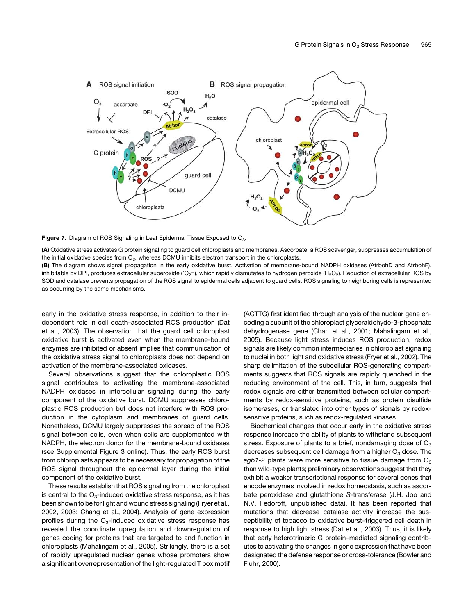

Figure 7. Diagram of ROS Signaling in Leaf Epidermal Tissue Exposed to O<sub>3</sub>.

(A) Oxidative stress activates G protein signaling to guard cell chloroplasts and membranes. Ascorbate, a ROS scavenger, suppresses accumulation of the initial oxidative species from  $O_3$ , whereas DCMU inhibits electron transport in the chloroplasts.

(B) The diagram shows signal propagation in the early oxidative burst. Activation of membrane-bound NADPH oxidases (AtrbohD and AtrbohF), inhibitable by DPI, produces extracellular superoxide (ʿO $_2$ ¬), which rapidly dismutates to hydrogen peroxide (H $_2$ O $_2$ ). Reduction of extracellular ROS by SOD and catalase prevents propagation of the ROS signal to epidermal cells adjacent to guard cells. ROS signaling to neighboring cells is represented as occurring by the same mechanisms.

early in the oxidative stress response, in addition to their independent role in cell death–associated ROS production (Dat et al., 2003). The observation that the guard cell chloroplast oxidative burst is activated even when the membrane-bound enzymes are inhibited or absent implies that communication of the oxidative stress signal to chloroplasts does not depend on activation of the membrane-associated oxidases.

Several observations suggest that the chloroplastic ROS signal contributes to activating the membrane-associated NADPH oxidases in intercellular signaling during the early component of the oxidative burst. DCMU suppresses chloroplastic ROS production but does not interfere with ROS production in the cytoplasm and membranes of guard cells. Nonetheless, DCMU largely suppresses the spread of the ROS signal between cells, even when cells are supplemented with NADPH, the electron donor for the membrane-bound oxidases (see Supplemental Figure 3 online). Thus, the early ROS burst from chloroplasts appears to be necessary for propagation of the ROS signal throughout the epidermal layer during the initial component of the oxidative burst.

These results establish that ROS signaling from the chloroplast is central to the  $O_3$ -induced oxidative stress response, as it has been shown to be for light and wound stress signaling (Fryer et al., 2002, 2003; Chang et al., 2004). Analysis of gene expression profiles during the  $O_3$ -induced oxidative stress response has revealed the coordinate upregulation and downregulation of genes coding for proteins that are targeted to and function in chloroplasts (Mahalingam et al., 2005). Strikingly, there is a set of rapidly upregulated nuclear genes whose promoters show a significant overrepresentation of the light-regulated T box motif (ACTTG) first identified through analysis of the nuclear gene encoding a subunit of the chloroplast glyceraldehyde-3-phosphate dehydrogenase gene (Chan et al., 2001; Mahalingam et al., 2005). Because light stress induces ROS production, redox signals are likely common intermediaries in chloroplast signaling to nuclei in both light and oxidative stress (Fryer et al., 2002). The sharp delimitation of the subcellular ROS-generating compartments suggests that ROS signals are rapidly quenched in the reducing environment of the cell. This, in turn, suggests that redox signals are either transmitted between cellular compartments by redox-sensitive proteins, such as protein disulfide isomerases, or translated into other types of signals by redoxsensitive proteins, such as redox-regulated kinases.

Biochemical changes that occur early in the oxidative stress response increase the ability of plants to withstand subsequent stress. Exposure of plants to a brief, nondamaging dose of  $O<sub>3</sub>$ decreases subsequent cell damage from a higher  $O<sub>3</sub>$  dose. The  $a$ gb1-2 plants were more sensitive to tissue damage from  $O<sub>3</sub>$ than wild-type plants; preliminary observations suggest that they exhibit a weaker transcriptional response for several genes that encode enzymes involved in redox homeostasis, such as ascorbate peroxidase and glutathione *S*-transferase (J.H. Joo and N.V. Fedoroff, unpublished data). It has been reported that mutations that decrease catalase activity increase the susceptibility of tobacco to oxidative burst–triggered cell death in response to high light stress (Dat et al., 2003). Thus, it is likely that early heterotrimeric G protein–mediated signaling contributes to activating the changes in gene expression that have been designated the defense response or cross-tolerance (Bowler and Fluhr, 2000).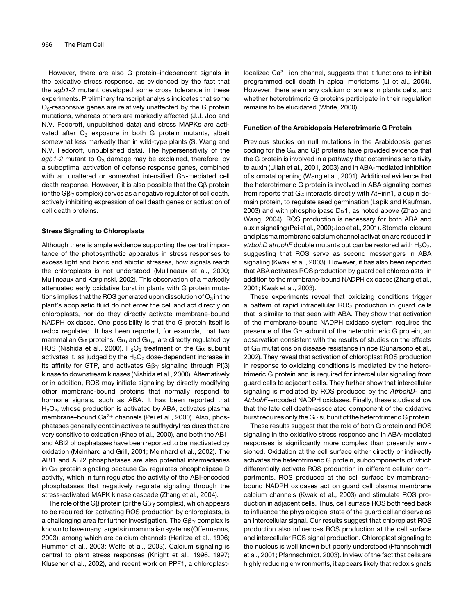However, there are also G protein–independent signals in the oxidative stress response, as evidenced by the fact that the *agb1-2* mutant developed some cross tolerance in these experiments. Preliminary transcript analysis indicates that some  $O<sub>3</sub>$ -responsive genes are relatively unaffected by the G protein mutations, whereas others are markedly affected (J.J. Joo and N.V. Fedoroff, unpublished data) and stress MAPKs are activated after  $O_3$  exposure in both G protein mutants, albeit somewhat less markedly than in wild-type plants (S. Wang and N.V. Fedoroff, unpublished data). The hypersensitivity of the  $a$ gb1-2 mutant to  $O_3$  damage may be explained, therefore, by a suboptimal activation of defense response genes, combined with an unaltered or somewhat intensified  $Ga$ -mediated cell death response. However, it is also possible that the G $\beta$  protein (or the  $G\beta\gamma$  complex) serves as a negative regulator of cell death, actively inhibiting expression of cell death genes or activation of cell death proteins.

#### Stress Signaling to Chloroplasts

Although there is ample evidence supporting the central importance of the photosynthetic apparatus in stress responses to excess light and biotic and abiotic stresses, how signals reach the chloroplasts is not understood (Mullineaux et al., 2000; Mullineaux and Karpinski, 2002). This observation of a markedly attenuated early oxidative burst in plants with G protein mutations implies that the ROS generated upon dissolution of  $O_3$  in the plant's apoplastic fluid do not enter the cell and act directly on chloroplasts, nor do they directly activate membrane-bound NADPH oxidases. One possibility is that the G protein itself is redox regulated. It has been reported, for example, that two mammalian G $\alpha$  proteins, G $\alpha_i$  and G $\alpha_o$ , are directly regulated by ROS (Nishida et al., 2000). H<sub>2</sub>O<sub>2</sub> treatment of the G $\alpha$  subunit activates it, as judged by the  $H_2O_2$  dose-dependent increase in its affinity for GTP, and activates  $G\beta\gamma$  signaling through PI(3) kinase to downstream kinases (Nishida et al., 2000). Alternatively or in addition, ROS may initiate signaling by directly modifying other membrane-bound proteins that normally respond to hormone signals, such as ABA. It has been reported that  $H<sub>2</sub>O<sub>2</sub>$ , whose production is activated by ABA, activates plasma membrane–bound Ca<sup>2+</sup> channels (Pei et al., 2000). Also, phosphatases generally contain active site sulfhydryl residues that are very sensitive to oxidation (Rhee et al., 2000), and both the ABI1 and ABI2 phosphatases have been reported to be inactivated by oxidation (Meinhard and Grill, 2001; Meinhard et al., 2002). The ABI1 and ABI2 phosphatases are also potential intermediaries in G $\alpha$  protein signaling because G $\alpha$  regulates phospholipase D activity, which in turn regulates the activity of the ABI-encoded phosphatases that negatively regulate signaling through the stress-activated MAPK kinase cascade (Zhang et al., 2004).

The role of the G $\beta$  protein (or the G $\beta\gamma$  complex), which appears to be required for activating ROS production by chloroplasts, is a challenging area for further investigation. The  $G\beta\gamma$  complex is known to have many targets in mammalian systems (Offermanns, 2003), among which are calcium channels (Herlitze et al., 1996; Hummer et al., 2003; Wolfe et al., 2003). Calcium signaling is central to plant stress responses (Knight et al., 1996, 1997; Klusener et al., 2002), and recent work on PPF1, a chloroplastlocalized  $Ca^{2+}$  ion channel, suggests that it functions to inhibit programmed cell death in apical meristems (Li et al., 2004). However, there are many calcium channels in plants cells, and whether heterotrimeric G proteins participate in their regulation remains to be elucidated (White, 2000).

#### Function of the Arabidopsis Heterotrimeric G Protein

Previous studies on null mutations in the Arabidopsis genes coding for the G $\alpha$  and G $\beta$  proteins have provided evidence that the G protein is involved in a pathway that determines sensitivity to auxin (Ullah et al., 2001, 2003) and in ABA-mediated inhibition of stomatal opening (Wang et al., 2001). Additional evidence that the heterotrimeric G protein is involved in ABA signaling comes from reports that  $G_{\alpha}$  interacts directly with AtPirin1, a cupin domain protein, to regulate seed germination (Lapik and Kaufman, 2003) and with phospholipase  $D\alpha$ 1, as noted above (Zhao and Wang, 2004). ROS production is necessary for both ABA and auxin signaling (Pei et al., 2000; Joo et al., 2001). Stomatal closure and plasma membrane calcium channel activation are reduced in *atrbohD atrbohF* double mutants but can be restored with  $H_2O_2$ , suggesting that ROS serve as second messengers in ABA signaling (Kwak et al., 2003). However, it has also been reported that ABA activates ROS production by guard cell chloroplasts, in addition to the membrane-bound NADPH oxidases (Zhang et al., 2001; Kwak et al., 2003).

These experiments reveal that oxidizing conditions trigger a pattern of rapid intracellular ROS production in guard cells that is similar to that seen with ABA. They show that activation of the membrane-bound NADPH oxidase system requires the presence of the  $Ga$  subunit of the heterotrimeric G protein, an observation consistent with the results of studies on the effects of  $G\alpha$  mutations on disease resistance in rice (Suharsono et al., 2002). They reveal that activation of chloroplast ROS production in response to oxidizing conditions is mediated by the heterotrimeric G protein and is required for intercellular signaling from guard cells to adjacent cells. They further show that intercellular signaling is mediated by ROS produced by the *AtrbohD*- and *AtrbohF*-encoded NADPH oxidases. Finally, these studies show that the late cell death–associated component of the oxidative burst requires only the  $G\alpha$  subunit of the heterotrimeric G protein.

These results suggest that the role of both G protein and ROS signaling in the oxidative stress response and in ABA-mediated responses is significantly more complex than presently envisioned. Oxidation at the cell surface either directly or indirectly activates the heterotrimeric G protein, subcomponents of which differentially activate ROS production in different cellular compartments. ROS produced at the cell surface by membranebound NADPH oxidases act on guard cell plasma membrane calcium channels (Kwak et al., 2003) and stimulate ROS production in adjacent cells. Thus, cell surface ROS both feed back to influence the physiological state of the guard cell and serve as an intercellular signal. Our results suggest that chloroplast ROS production also influences ROS production at the cell surface and intercellular ROS signal production. Chloroplast signaling to the nucleus is well known but poorly understood (Pfannschmidt et al., 2001; Pfannschmidt, 2003). In view of the fact that cells are highly reducing environments, it appears likely that redox signals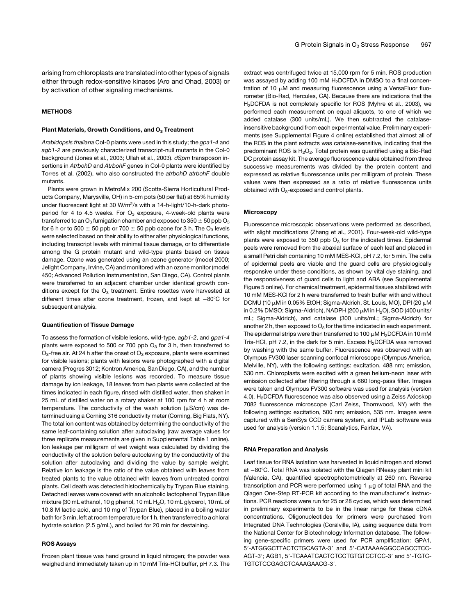arising from chloroplasts are translated into other types of signals either through redox-sensitive kinases (Aro and Ohad, 2003) or by activation of other signaling mechanisms.

# **METHODS**

## Plant Materials, Growth Conditions, and  $O_3$  Treatment

*Arabidopsis thaliana* Col-0 plants were used in this study; the *gpa1-4* and *agb1-2* are previously characterized transcript-null mutants in the Col-0 background (Jones et al., 2003; Ullah et al., 2003). *dSpm* transposon insertions in *AtrbohD* and *AtrbohF* genes in Col-0 plants were identified by Torres et al. (2002), who also constructed the *atrbohD atrbohF* double mutants.

Plants were grown in MetroMix 200 (Scotts-Sierra Horticultural Products Company, Marysville, OH) in 5-cm pots (50 per flat) at 65% humidity under fluorescent light at 30 W/m2/s with a 14-h-light/10-h-dark photoperiod for 4 to 4.5 weeks. For  $O_3$  exposure, 4-week-old plants were transferred to an  $O_3$  fumigation chamber and exposed to 350  $\pm$  50 ppb  $O_3$ for 6 h or to 500  $\pm$  50 ppb or 700  $\pm$  50 ppb ozone for 3 h. The O<sub>3</sub> levels were selected based on their ability to either alter physiological functions, including transcript levels with minimal tissue damage, or to differentiate among the G protein mutant and wild-type plants based on tissue damage. Ozone was generated using an ozone generator (model 2000; Jelight Company, Irvine, CA) and monitored with an ozone monitor (model 450; Advanced Pollution Instrumentation, San Diego, CA). Control plants were transferred to an adjacent chamber under identical growth conditions except for the  $O_3$  treatment. Entire rosettes were harvested at different times after ozone treatment, frozen, and kept at  $-80^{\circ}$ C for subsequent analysis.

#### Quantification of Tissue Damage

To assess the formation of visible lesions, wild-type, *agb1-2*, and *gpa1-4* plants were exposed to 500 or 700 ppb  $O_3$  for 3 h, then transferred to  $O_3$ -free air. At 24 h after the onset of  $O_3$  exposure, plants were examined for visible lesions; plants with lesions were photographed with a digital camera (Progres 3012; Kontron America, San Diego, CA), and the number of plants showing visible lesions was recorded. To measure tissue damage by ion leakage, 18 leaves from two plants were collected at the times indicated in each figure, rinsed with distilled water, then shaken in 25 mL of distilled water on a rotary shaker at 100 rpm for 4 h at room temperature. The conductivity of the wash solution ( $\mu$ S/cm) was determined using a Corning 316 conductivity meter (Corning, Big Flats, NY). The total ion content was obtained by determining the conductivity of the same leaf-containing solution after autoclaving (raw average values for three replicate measurements are given in Supplemental Table 1 online). Ion leakage per milligram of wet weight was calculated by dividing the conductivity of the solution before autoclaving by the conductivity of the solution after autoclaving and dividing the value by sample weight. Relative ion leakage is the ratio of the value obtained with leaves from treated plants to the value obtained with leaves from untreated control plants. Cell death was detected histochemically by Trypan Blue staining. Detached leaves were covered with an alcoholic lactophenol Trypan Blue mixture (30 mL ethanol, 10 g phenol, 10 mL  $H<sub>2</sub>O$ , 10 mL glycerol, 10 mL of 10.8 M lactic acid, and 10 mg of Trypan Blue), placed in a boiling water bath for 3 min, left at room temperature for 1 h, then transferred to a chloral hydrate solution (2.5 g/mL), and boiled for 20 min for destaining.

## ROS Assays

Frozen plant tissue was hand ground in liquid nitrogen; the powder was weighed and immediately taken up in 10 mM Tris-HCl buffer, pH 7.3. The extract was centrifuged twice at 15,000 rpm for 5 min. ROS production was assayed by adding 100 mM H<sub>2</sub>DCFDA in DMSO to a final concentration of 10  $\mu$ M and measuring fluorescence using a VersaFluor fluorometer (Bio-Rad, Hercules, CA). Because there are indications that the H<sub>2</sub>DCFDA is not completely specific for ROS (Myhre et al., 2003), we performed each measurement on equal aliquots, to one of which we added catalase (300 units/mL). We then subtracted the catalaseinsensitive background from each experimental value. Preliminary experiments (see Supplemental Figure 4 online) established that almost all of the ROS in the plant extracts was catalase-sensitive, indicating that the predominant ROS is  $H_2O_2$ . Total protein was quantified using a Bio-Rad DC protein assay kit. The average fluorescence value obtained from three successive measurements was divided by the protein content and expressed as relative fluorescence units per milligram of protein. These values were then expressed as a ratio of relative fluorescence units obtained with  $O_3$ -exposed and control plants.

#### **Microscopy**

Fluorescence microscopic observations were performed as described, with slight modifications (Zhang et al., 2001). Four-week-old wild-type plants were exposed to 350 ppb  $O_3$  for the indicated times. Epidermal peels were removed from the abaxial surface of each leaf and placed in a small Petri dish containing 10 mM MES-KCl, pH 7.2, for 5 min. The cells of epidermal peels are viable and the guard cells are physiologically responsive under these conditions, as shown by vital dye staining, and the responsiveness of guard cells to light and ABA (see Supplemental Figure 5 online). For chemical treatment, epidermal tissues stabilized with 10 mM MES-KCl for 2 h were transferred to fresh buffer with and without DCMU (10  $\mu$ M in 0.05% EtOH; Sigma-Aldrich, St. Louis, MO), DPI (20  $\mu$ M in 0.2% DMSO; Sigma-Aldrich), NADPH (200  $\mu$ M in H<sub>2</sub>O), SOD (400 units/ mL; Sigma-Aldrich), and catalase (300 units/mL; Sigma-Aldrich) for another 2 h, then exposed to  $O_3$  for the time indicated in each experiment. The epidermal strips were then transferred to 100  $\mu$ M H<sub>2</sub>DCFDA in 10 mM Tris-HCl, pH 7.2, in the dark for 5 min. Excess  $H_2$ DCFDA was removed by washing with the same buffer. Fluorescence was observed with an Olympus FV300 laser scanning confocal microscope (Olympus America, Melville, NY), with the following settings: excitation, 488 nm; emission, 530 nm. Chloroplasts were excited with a green helium-neon laser with emission collected after filtering through a 660 long-pass filter. Images were taken and Olympus FV300 software was used for analysis (version 4.0). H2DCFDA fluorescence was also observed using a Zeiss Axioskop 7082 fluorescence microscope (Carl Zeiss, Thornwood, NY) with the following settings: excitation, 500 nm; emission, 535 nm. Images were captured with a SenSys CCD camera system, and IPLab software was used for analysis (version 1.1.5; Scanalytics, Fairfax, VA).

#### RNA Preparation and Analysis

Leaf tissue for RNA isolation was harvested in liquid nitrogen and stored at  $-80^{\circ}$ C. Total RNA was isolated with the Qiagen RNeasy plant mini kit (Valencia, CA), quantified spectrophotometrically at 260 nm. Reverse transcription and PCR were performed using 1  $\mu$ g of total RNA and the Qiagen One-Step RT-PCR kit according to the manufacturer's instructions. PCR reactions were run for 25 or 28 cycles, which was determined in preliminary experiments to be in the linear range for these cDNA concentrations. Oligonucleotides for primers were purchased from Integrated DNA Technologies (Coralville, IA), using sequence data from the National Center for Biotechnology Information database. The following gene-specific primers were used for PCR amplification: GPA1, 5'-ATGGGCTTACTCTGCAGTA-3' and 5'-CATAAAAGGCCAGCCTCC-AGT-3'; AGB1, 5'-TCAAATCACTCTCCTGTGTCCTCC-3' and 5'-TGTC-TGTCTCCGAGCTCAAAGAACG-3'.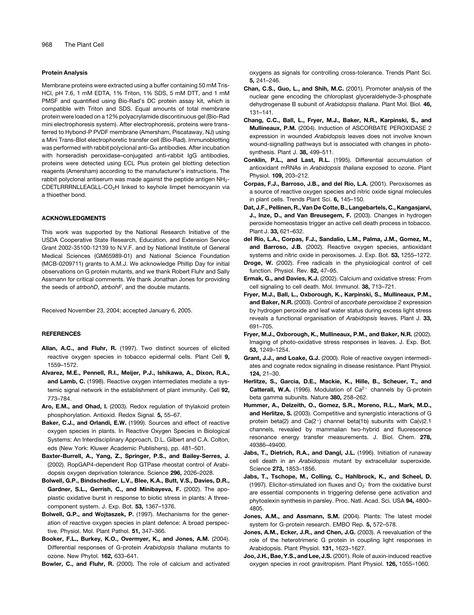#### Protein Analysis

Membrane proteins were extracted using a buffer containing 50 mM Tris-HCl, pH 7.6, 1 mM EDTA, 1% Triton, 1% SDS, 5 mM DTT, and 1 mM PMSF and quantified using Bio-Rad's DC protein assay kit, which is compatible with Triton and SDS. Equal amounts of total membrane protein were loaded on a 12% polyacrylamide discontinuous gel (Bio-Rad mini electrophoresis system). After electrophoresis, proteins were transferred to Hybond-P PVDF membrane (Amersham, Piscataway, NJ) using a Mini Trans-Blot electrophoretic transfer cell (Bio-Rad). Immunoblotting was performed with rabbit polyclonal anti-G $\alpha$  antibodies. After incubation with horseradish peroxidase–conjugated anti-rabbit IgG antibodies, proteins were detected using ECL Plus protein gel blotting detection reagents (Amersham) according to the manufacturer's instructions. The rabbit polyclonal antiserum was made against the peptide antigen  $NH_{2}$ -CDETLRRRNLLEAGLL-CO<sub>2</sub>H linked to keyhole limpet hemocyanin via a thioether bond.

#### ACKNOWLEDGMENTS

This work was supported by the National Research Initiative of the USDA Cooperative State Research, Education, and Extension Service Grant 2002-35100-12139 to N.V.F. and by National Institute of General Medical Sciences (GM65989-01) and National Science Foundation (MCB-0209711) grants to A.M.J. We acknowledge Phillip Day for initial observations on G protein mutants, and we thank Robert Fluhr and Sally Assmann for critical comments. We thank Jonathan Jones for providing the seeds of *atrbohD*, *atrbohF*, and the double mutants.

Received November 23, 2004; accepted January 6, 2005.

#### REFERENCES

- Allan, A.C., and Fluhr, R. (1997). Two distinct sources of elicited reactive oxygen species in tobacco epidermal cells. Plant Cell 9, 1559–1572.
- Alvarez, M.E., Pennell, R.I., Meijer, P.J., Ishikawa, A., Dixon, R.A., and Lamb, C. (1998). Reactive oxygen intermediates mediate a systemic signal network in the establishment of plant immunity. Cell 92, 773–784.
- Aro, E.M., and Ohad, I. (2003). Redox regulation of thylakoid protein phosphorylation. Antioxid. Redox Signal. 5, 55–67.
- Baker, C.J., and Orlandi, E.W. (1999). Sources and effect of reactive oxygen species in plants. In Reactive Oxygen Species in Biological Systems: An Interdisciplinary Approach, D.L. Gilbert and C.A. Colton, eds (New York: Kluwer Academic Publishers), pp. 481–501.
- Baxter-Burrell, A., Yang, Z., Springer, P.S., and Bailey-Serres, J. (2002). RopGAP4-dependent Rop GTPase rheostat control of Arabidopsis oxygen deprivation tolerance. Science 296, 2026–2028.
- Bolwell, G.P., Bindschedler, L.V., Blee, K.A., Butt, V.S., Davies, D.R., Gardner, S.L., Gerrish, C., and Minibayeva, F. (2002). The apoplastic oxidative burst in response to biotic stress in plants: A threecomponent system. J. Exp. Bot. 53, 1367–1376.
- Bolwell, G.P., and Wojtaszek, P. (1997). Mechanisms for the generation of reactive oxygen species in plant defence: A broad perspective. Physiol. Mol. Plant Pathol. 51, 347–366.
- Booker, F.L., Burkey, K.O., Overmyer, K., and Jones, A.M. (2004). Differential responses of G-protein *Arabidopsis thaliana* mutants to ozone. New Phytol. 162, 633–641.

Bowler, C., and Fluhr, R. (2000). The role of calcium and activated

oxygens as signals for controlling cross-tolerance. Trends Plant Sci. 5, 241–246.

- Chan, C.S., Guo, L., and Shih, M.C. (2001). Promoter analysis of the nuclear gene encoding the chloroplast glyceraldehyde-3-phosphate dehydrogenase B subunit of *Arabidopsis thaliana*. Plant Mol. Biol. 46, 131–141.
- Chang, C.C., Ball, L., Fryer, M.J., Baker, N.R., Karpinski, S., and Mullineaux, P.M. (2004). Induction of ASCORBATE PEROXIDASE 2 expression in wounded *Arabidopsis* leaves does not involve known wound-signalling pathways but is associated with changes in photosynthesis. Plant J. 38, 499–511.
- Conklin, P.L., and Last, R.L. (1995). Differential accumulation of antioxidant mRNAs in *Arabidopsis thaliana* exposed to ozone. Plant Physiol. 109, 203–212.
- Corpas, F.J., Barroso, J.B., and del Rio, L.A. (2001). Peroxisomes as a source of reactive oxygen species and nitric oxide signal molecules in plant cells. Trends Plant Sci. 6, 145–150.
- Dat, J.F., Pellinen, R., Van De Cotte, B., Langebartels, C., Kangasjarvi, J., Inze, D., and Van Breusegem, F. (2003). Changes in hydrogen peroxide homeostasis trigger an active cell death process in tobacco. Plant J. 33, 621–632.
- del Rio, L.A., Corpas, F.J., Sandalio, L.M., Palma, J.M., Gomez, M., and Barroso, J.B. (2002). Reactive oxygen species, antioxidant systems and nitric oxide in peroxisomes. J. Exp. Bot. 53, 1255–1272.
- Droge, W. (2002). Free radicals in the physiological control of cell function. Physiol. Rev. 82, 47–95.
- Ermak, G., and Davies, K.J. (2002). Calcium and oxidative stress: From cell signaling to cell death. Mol. Immunol. 38, 713–721.
- Fryer, M.J., Ball, L., Oxborough, K., Karpinski, S., Mullineaux, P.M., and Baker, N.R. (2003). Control of *ascorbate peroxidase 2* expression by hydrogen peroxide and leaf water status during excess light stress reveals a functional organisation of *Arabidopsis* leaves. Plant J. 33, 691–705.
- Fryer, M.J., Oxborough, K., Mullineaux, P.M., and Baker, N.R. (2002). Imaging of photo-oxidative stress responses in leaves. J. Exp. Bot. 53, 1249–1254.
- Grant, J.J., and Loake, G.J. (2000). Role of reactive oxygen intermediates and cognate redox signaling in disease resistance. Plant Physiol. 124, 21–30.
- Herlitze, S., Garcia, D.E., Mackie, K., Hille, B., Scheuer, T., and **Catterall, W.A.** (1996). Modulation of  $Ca^{2+}$  channels by G-protein beta gamma subunits. Nature 380, 258–262.
- Hummer, A., Delzeith, O., Gomez, S.R., Moreno, R.L., Mark, M.D., and Herlitze, S. (2003). Competitive and synergistic interactions of G protein beta(2) and  $Ca(2^{+})$  channel beta(1b) subunits with  $Ca(v)2.1$ channels, revealed by mammalian two-hybrid and fluorescence resonance energy transfer measurements. J. Biol. Chem. 278, 49386–49400.
- Jabs, T., Dietrich, R.A., and Dangl, J.L. (1996). Initiation of runaway cell death in an *Arabidopsis* mutant by extracellular superoxide. Science 273, 1853–1856.
- Jabs, T., Tschope, M., Colling, C., Hahlbrock, K., and Scheel, D. (1997). Elicitor-stimulated ion fluxes and  $O_2$ <sup>-</sup> from the oxidative burst are essential components in triggering defense gene activation and phytoalexin synthesis in parsley. Proc. Natl. Acad. Sci. USA 94, 4800– 4805.
- Jones, A.M., and Assmann, S.M. (2004). Plants: The latest model system for G-protein research. EMBO Rep. 5, 572–578.
- Jones, A.M., Ecker, J.R., and Chen, J.G. (2003). A reevaluation of the role of the heterotrimeric G protein in coupling light responses in Arabidopsis. Plant Physiol. 131, 1623–1627.
- Joo, J.H., Bae, Y.S., and Lee, J.S. (2001). Role of auxin-induced reactive oxygen species in root gravitropism. Plant Physiol. 126, 1055–1060.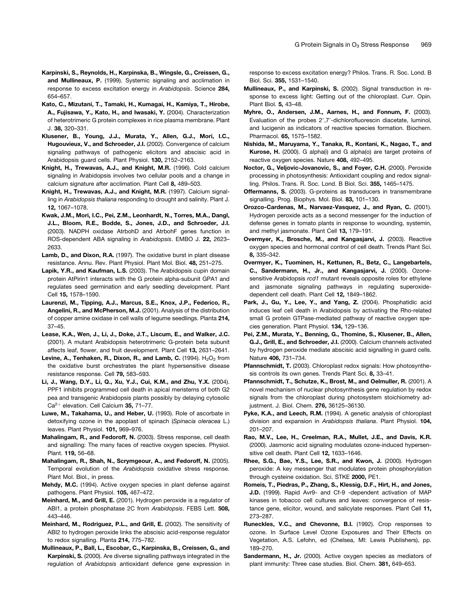- Karpinski, S., Reynolds, H., Karpinska, B., Wingsle, G., Creissen, G., and Mullineaux, P. (1999). Systemic signaling and acclimation in response to excess excitation energy in *Arabidopsis*. Science 284, 654–657.
- Kato, C., Mizutani, T., Tamaki, H., Kumagai, H., Kamiya, T., Hirobe, A., Fujisawa, Y., Kato, H., and Iwasaki, Y. (2004). Characterization of heterotrimeric G protein complexes in rice plasma membrane. Plant J. 38, 320–331.
- Klusener, B., Young, J.J., Murata, Y., Allen, G.J., Mori, I.C., Hugouvieux, V., and Schroeder, J.I. (2002). Convergence of calcium signaling pathways of pathogenic elicitors and abscisic acid in Arabidopsis guard cells. Plant Physiol. 130, 2152–2163.
- Knight, H., Trewavas, A.J., and Knight, M.R. (1996). Cold calcium signaling in Arabidopsis involves two cellular pools and a change in calcium signature after acclimation. Plant Cell 8, 489–503.
- Knight, H., Trewavas, A.J., and Knight, M.R. (1997). Calcium signalling in *Arabidopsis thaliana* responding to drought and salinity. Plant J. 12, 1067–1078.
- Kwak, J.M., Mori, I.C., Pei, Z.M., Leonhardt, N., Torres, M.A., Dangl, J.L., Bloom, R.E., Bodde, S., Jones, J.D., and Schroeder, J.I. (2003). NADPH oxidase AtrbohD and AtrbohF genes function in ROS-dependent ABA signaling in *Arabidopsis*. EMBO J. 22, 2623– 2633.
- Lamb, D., and Dixon, R.A. (1997). The oxidative burst in plant disease resistance. Annu. Rev. Plant Physiol. Plant Mol. Biol. 48, 251–275.
- Lapik, Y.R., and Kaufman, L.S. (2003). The Arabidopsis cupin domain protein AtPirin1 interacts with the G protein alpha-subunit GPA1 and regulates seed germination and early seedling development. Plant Cell 15, 1578–1590.
- Laurenzi, M., Tipping, A.J., Marcus, S.E., Knox, J.P., Federico, R., Angelini, R., and McPherson, M.J. (2001). Analysis of the distribution of copper amine oxidase in cell walls of legume seedlings. Planta 214, 37–45.
- Lease, K.A., Wen, J., Li, J., Doke, J.T., Liscum, E., and Walker, J.C. (2001). A mutant Arabidopsis heterotrimeric G-protein beta subunit affects leaf, flower, and fruit development. Plant Cell 13, 2631–2641.
- Levine, A., Tenhaken, R., Dixon, R., and Lamb, C. (1994).  $H_2O_2$  from the oxidative burst orchestrates the plant hypersensitive disease resistance response. Cell 79, 583–593.
- Li, J., Wang, D.Y., Li, Q., Xu, Y.J., Cui, K.M., and Zhu, Y.X. (2004). PPF1 inhibits programmed cell death in apical meristems of both G2 pea and transgenic Arabidopsis plants possibly by delaying cytosolic Ca<sup>2+</sup> elevation. Cell Calcium 35, 71-77.
- Luwe, M., Takahama, U., and Heber, U. (1993). Role of ascorbate in detoxifying ozone in the apoplast of spinach (*Spinacia oleracea* L.) leaves. Plant Physiol. 101, 969–976.
- Mahalingam, R., and Fedoroff, N. (2003). Stress response, cell death and signalling: The many faces of reactive oxygen species. Physiol. Plant. 119, 56–68.
- Mahalingam, R., Shah, N., Scrymgeour, A., and Fedoroff, N. (2005). Temporal evolution of the *Arabidopsis* oxidative stress response. Plant Mol. Biol., in press.
- Mehdy, M.C. (1994). Active oxygen species in plant defense against pathogens. Plant Physiol. 105, 467–472.
- Meinhard, M., and Grill, E. (2001). Hydrogen peroxide is a regulator of ABI1, a protein phosphatase 2C from *Arabidopsis*. FEBS Lett. 508, 443–446.
- Meinhard, M., Rodriguez, P.L., and Grill, E. (2002). The sensitivity of ABI2 to hydrogen peroxide links the abscisic acid-response regulator to redox signalling. Planta 214, 775–782.
- Mullineaux, P., Ball, L., Escobar, C., Karpinska, B., Creissen, G., and Karpinski, S. (2000). Are diverse signalling pathways integrated in the regulation of *Arabidopsis* antioxidant defence gene expression in

response to excess excitation energy? Philos. Trans. R. Soc. Lond. B Biol. Sci. 355, 1531–1540.

- Mullineaux, P., and Karpinski, S. (2002). Signal transduction in response to excess light: Getting out of the chloroplast. Curr. Opin. Plant Biol. 5, 43–48.
- Myhre, O., Andersen, J.M., Aarnes, H., and Fonnum, F. (2003). Evaluation of the probes 2',7'-dichlorofluorescin diacetate, luminol, and lucigenin as indicators of reactive species formation. Biochem. Pharmacol. 65, 1575–1582.
- Nishida, M., Maruyama, Y., Tanaka, R., Kontani, K., Nagao, T., and Kurose, H. (2000). G alpha(i) and G alpha(o) are target proteins of reactive oxygen species. Nature 408, 492–495.
- Noctor, G., Veljovic-Jovanovic, S., and Foyer, C.H. (2000). Peroxide processing in photosynthesis: Antioxidant coupling and redox signalling. Philos. Trans. R. Soc. Lond. B Biol. Sci. 355, 1465–1475.
- Offermanns, S. (2003). G-proteins as transducers in transmembrane signalling. Prog. Biophys. Mol. Biol. 83, 101–130.
- Orozco-Cardenas, M., Narvaez-Vasquez, J., and Ryan, C. (2001). Hydrogen peroxide acts as a second messenger for the induction of defense genes in tomato plants in response to wounding, systemin, and methyl jasmonate. Plant Cell 13, 179–191.
- Overmyer, K., Brosche, M., and Kangasjarvi, J. (2003). Reactive oxygen species and hormonal control of cell death. Trends Plant Sci. 8, 335–342.
- Overmyer, K., Tuominen, H., Kettunen, R., Betz, C., Langebartels, C., Sandermann, H., Jr., and Kangasjarvi, J. (2000). Ozonesensitive Arabidopsis *rcd1* mutant reveals opposite roles for ethylene and jasmonate signaling pathways in regulating superoxidedependent cell death. Plant Cell 12, 1849–1862.
- Park, J., Gu, Y., Lee, Y., and Yang, Z. (2004). Phosphatidic acid induces leaf cell death in Arabidopsis by activating the Rho-related small G protein GTPase-mediated pathway of reactive oxygen species generation. Plant Physiol. 134, 129–136.
- Pei, Z.M., Murata, Y., Benning, G., Thomine, S., Klusener, B., Allen, G.J., Grill, E., and Schroeder, J.I. (2000). Calcium channels activated by hydrogen peroxide mediate abscisic acid signalling in guard cells. Nature 406, 731–734.
- Pfannschmidt, T. (2003). Chloroplast redox signals: How photosynthesis controls its own genes. Trends Plant Sci. 8, 33–41.
- Pfannschmidt, T., Schutze, K., Brost, M., and Oelmuller, R. (2001). A novel mechanism of nuclear photosynthesis gene regulation by redox signals from the chloroplast during photosystem stoichiometry adjustment. J. Biol. Chem. 276, 36125–36130.
- Pyke, K.A., and Leech, R.M. (1994). A genetic analysis of chloroplast division and expansion in *Arabidopsis thaliana*. Plant Physiol. 104, 201–207.
- Rao, M.V., Lee, H., Creelman, R.A., Mullet, J.E., and Davis, K.R. (2000). Jasmonic acid signaling modulates ozone-induced hypersensitive cell death. Plant Cell 12, 1633–1646.
- Rhee, S.G., Bae, Y.S., Lee, S.R., and Kwon, J. (2000). Hydrogen peroxide: A key messenger that modulates protein phosphorylation through cysteine oxidation. Sci. STKE 2000, PE1.
- Romeis, T., Piedras, P., Zhang, S., Klessig, D.F., Hirt, H., and Jones, J.D. (1999). Rapid Avr9- and Cf-9 -dependent activation of MAP kinases in tobacco cell cultures and leaves: convergence of resistance gene, elicitor, wound, and salicylate responses. Plant Cell 11, 273–287.
- Runeckles, V.C., and Chevonne, B.I. (1992). Crop responses to ozone. In Surface Level Ozone Exposures and Their Effects on Vegetation, A.S. Lefohn, ed (Chelsea, MI: Lewis Publishers), pp. 189–270.
- Sandermann, H., Jr. (2000). Active oxygen species as mediators of plant immunity: Three case studies. Biol. Chem. 381, 649–653.